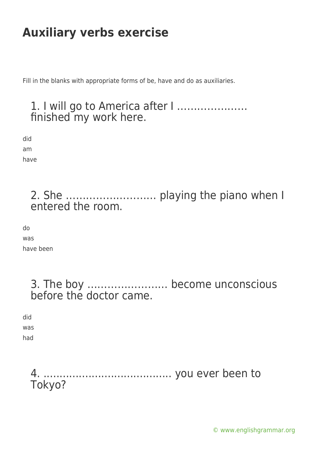Fill in the blanks with appropriate forms of be, have and do as auxiliaries.

### 1. I will go to America after I ………………… finished my work here.

did am

have

### 2. She ……………………… playing the piano when I entered the room.

do was

have been

3. The boy …………………… become unconscious before the doctor came.

did was

had

4. ........................................ you ever been to Tokyo?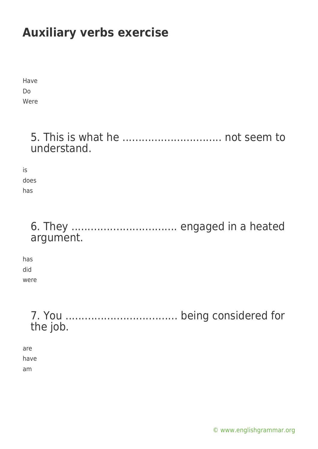Have Do Were

### 5. This is what he ............................... not seem to understand.

is does has

### 6. They ................................. engaged in a heated argument.

has did were

> 7. You ................................... being considered for the job.

are have am

[© www.englishgrammar.org](https://www.englishgrammar.org/)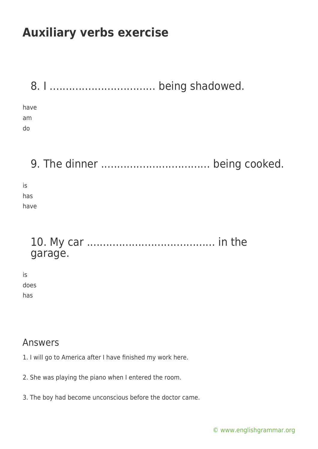| have |  |
|------|--|
| am   |  |
| do   |  |
|      |  |

9. The dinner .................................. being cooked.

is has have

### 10. My car ........................................ in the garage.

is does has

#### Answers

- 1. I will go to America after I have finished my work here.
- 2. She was playing the piano when I entered the room.
- 3. The boy had become unconscious before the doctor came.